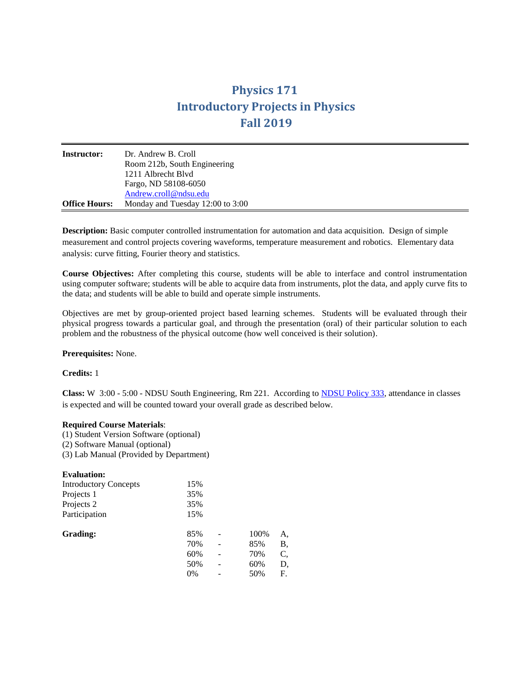# **Physics 171 Introductory Projects in Physics Fall 2019**

| <b>Instructor:</b>   | Dr. Andrew B. Croll<br>Room 212b, South Engineering |
|----------------------|-----------------------------------------------------|
|                      | 1211 Albrecht Blyd                                  |
|                      | Fargo, ND 58108-6050                                |
|                      | Andrew.croll@ndsu.edu                               |
| <b>Office Hours:</b> | Monday and Tuesday 12:00 to 3:00                    |

**Description:** Basic computer controlled instrumentation for automation and data acquisition. Design of simple measurement and control projects covering waveforms, temperature measurement and robotics. Elementary data analysis: curve fitting, Fourier theory and statistics.

**Course Objectives:** After completing this course, students will be able to interface and control instrumentation using computer software; students will be able to acquire data from instruments, plot the data, and apply curve fits to the data; and students will be able to build and operate simple instruments.

Objectives are met by group-oriented project based learning schemes. Students will be evaluated through their physical progress towards a particular goal, and through the presentation (oral) of their particular solution to each problem and the robustness of the physical outcome (how well conceived is their solution).

### **Prerequisites:** None.

# **Credits:** 1

**Class:** W 3:00 - 5:00 - NDSU South Engineering, Rm 221. According to [NDSU Policy 333,](http://www.ndsu.edu/fileadmin/policy/333.pdf) attendance in classes is expected and will be counted toward your overall grade as described below.

### **Required Course Materials**:

(1) Student Version Software (optional) (2) Software Manual (optional) (3) Lab Manual (Provided by Department)

| <b>Evaluation:</b>           |     |  |      |    |
|------------------------------|-----|--|------|----|
| <b>Introductory Concepts</b> | 15% |  |      |    |
| Projects 1                   | 35% |  |      |    |
| Projects 2                   | 35% |  |      |    |
| Participation                | 15% |  |      |    |
| Grading:                     | 85% |  | 100% | A, |
|                              | 70% |  | 85%  | Β, |
|                              | 60% |  | 70%  | C, |
|                              | 50% |  | 60%  | D, |
|                              | 0%  |  | 50%  | F. |